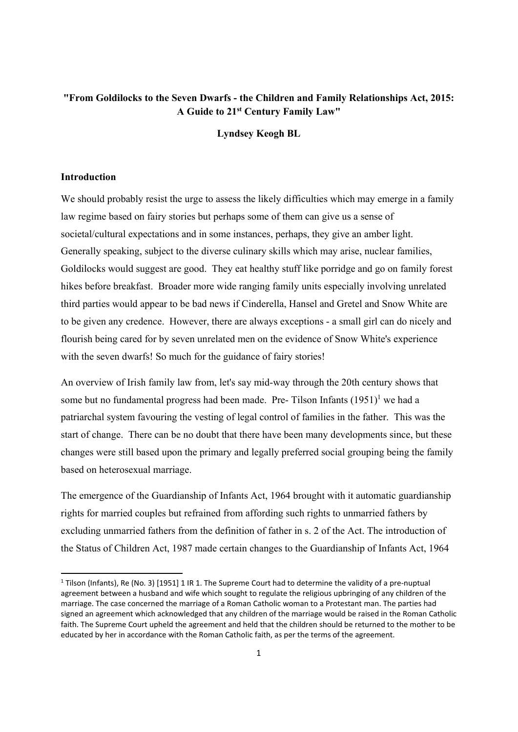# **"From Goldilocks to the Seven Dwarfs - the Children and Family Relationships Act, 2015: A Guide to 21st Century Family Law"**

**Lyndsey Keogh BL** 

# **Introduction**

We should probably resist the urge to assess the likely difficulties which may emerge in a family law regime based on fairy stories but perhaps some of them can give us a sense of societal/cultural expectations and in some instances, perhaps, they give an amber light. Generally speaking, subject to the diverse culinary skills which may arise, nuclear families, Goldilocks would suggest are good. They eat healthy stuff like porridge and go on family forest hikes before breakfast. Broader more wide ranging family units especially involving unrelated third parties would appear to be bad news if Cinderella, Hansel and Gretel and Snow White are to be given any credence. However, there are always exceptions - a small girl can do nicely and flourish being cared for by seven unrelated men on the evidence of Snow White's experience with the seven dwarfs! So much for the guidance of fairy stories!

An overview of Irish family law from, let's say mid-way through the 20th century shows that some but no fundamental progress had been made. Pre-Tilson Infants  $(1951)^{1}$  we had a patriarchal system favouring the vesting of legal control of families in the father. This was the start of change. There can be no doubt that there have been many developments since, but these changes were still based upon the primary and legally preferred social grouping being the family based on heterosexual marriage.

The emergence of the Guardianship of Infants Act, 1964 brought with it automatic guardianship rights for married couples but refrained from affording such rights to unmarried fathers by excluding unmarried fathers from the definition of father in s. 2 of the Act. The introduction of the Status of Children Act, 1987 made certain changes to the Guardianship of Infants Act, 1964

<sup>1</sup> Tilson (Infants), Re (No. 3) [1951] 1 IR 1. The Supreme Court had to determine the validity of a pre‐nuptual agreement between a husband and wife which sought to regulate the religious upbringing of any children of the marriage. The case concerned the marriage of a Roman Catholic woman to a Protestant man. The parties had signed an agreement which acknowledged that any children of the marriage would be raised in the Roman Catholic faith. The Supreme Court upheld the agreement and held that the children should be returned to the mother to be educated by her in accordance with the Roman Catholic faith, as per the terms of the agreement.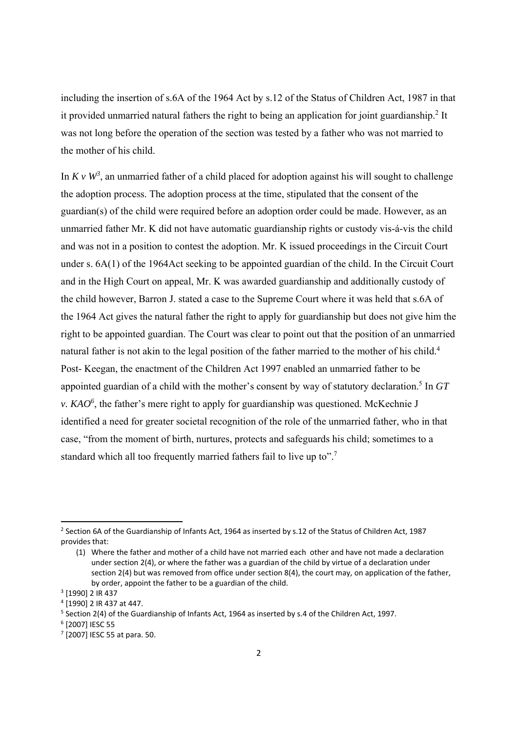including the insertion of s.6A of the 1964 Act by s.12 of the Status of Children Act, 1987 in that it provided unmarried natural fathers the right to being an application for joint guardianship.<sup>2</sup> It was not long before the operation of the section was tested by a father who was not married to the mother of his child.

In  $K v W^3$ , an unmarried father of a child placed for adoption against his will sought to challenge the adoption process. The adoption process at the time, stipulated that the consent of the guardian(s) of the child were required before an adoption order could be made. However, as an unmarried father Mr. K did not have automatic guardianship rights or custody vis-á-vis the child and was not in a position to contest the adoption. Mr. K issued proceedings in the Circuit Court under s. 6A(1) of the 1964Act seeking to be appointed guardian of the child. In the Circuit Court and in the High Court on appeal, Mr. K was awarded guardianship and additionally custody of the child however, Barron J. stated a case to the Supreme Court where it was held that s.6A of the 1964 Act gives the natural father the right to apply for guardianship but does not give him the right to be appointed guardian. The Court was clear to point out that the position of an unmarried natural father is not akin to the legal position of the father married to the mother of his child.<sup>4</sup> Post- Keegan, the enactment of the Children Act 1997 enabled an unmarried father to be appointed guardian of a child with the mother's consent by way of statutory declaration.5 In *GT v. KAO<sup>6</sup>*, the father's mere right to apply for guardianship was questioned. McKechnie J identified a need for greater societal recognition of the role of the unmarried father, who in that case, "from the moment of birth, nurtures, protects and safeguards his child; sometimes to a standard which all too frequently married fathers fail to live up to".<sup>7</sup>

<sup>&</sup>lt;sup>2</sup> Section 6A of the Guardianship of Infants Act, 1964 as inserted by s.12 of the Status of Children Act, 1987 provides that:

<sup>(1)</sup> Where the father and mother of a child have not married each other and have not made a declaration under section 2(4), or where the father was a guardian of the child by virtue of a declaration under section 2(4) but was removed from office under section 8(4), the court may, on application of the father, by order, appoint the father to be a guardian of the child.

<sup>3</sup> [1990] 2 IR 437

<sup>4</sup> [1990] 2 IR 437 at 447.

<sup>5</sup> Section 2(4) of the Guardianship of Infants Act, 1964 as inserted by s.4 of the Children Act, 1997.

<sup>6</sup> [2007] IESC 55

<sup>7</sup> [2007] IESC 55 at para. 50.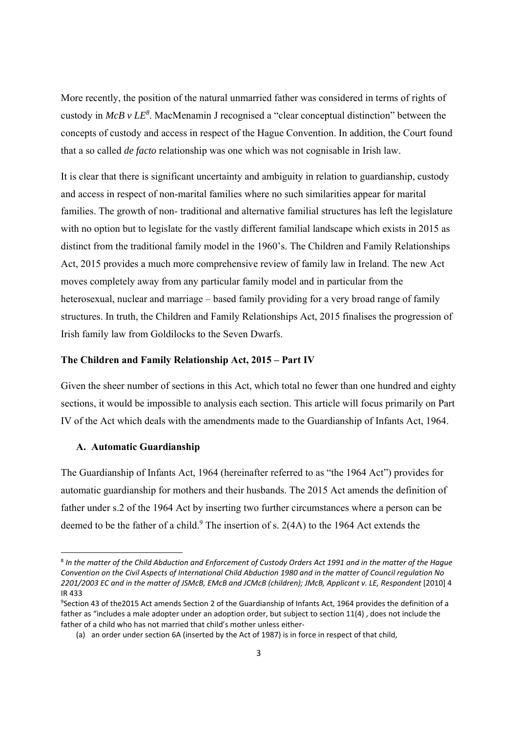More recently, the position of the natural unmarried father was considered in terms of rights of custody in *McB v LE<sup>8</sup>*. MacMenamin J recognised a "clear conceptual distinction" between the concepts of custody and access in respect of the Hague Convention. In addition, the Court found that a so called *de facto* relationship was one which was not cognisable in Irish law.

It is clear that there is significant uncertainty and ambiguity in relation to guardianship, custody and access in respect of non-marital families where no such similarities appear for marital families. The growth of non- traditional and alternative familial structures has left the legislature with no option but to legislate for the vastly different familial landscape which exists in 2015 as distinct from the traditional family model in the 1960's. The Children and Family Relationships Act, 2015 provides a much more comprehensive review of family law in Ireland. The new Act moves completely away from any particular family model and in particular from the heterosexual, nuclear and marriage – based family providing for a very broad range of family structures. In truth, the Children and Family Relationships Act, 2015 finalises the progression of Irish family law from Goldilocks to the Seven Dwarfs.

#### **The Children and Family Relationship Act, 2015 – Part IV**

Given the sheer number of sections in this Act, which total no fewer than one hundred and eighty sections, it would be impossible to analysis each section. This article will focus primarily on Part IV of the Act which deals with the amendments made to the Guardianship of Infants Act, 1964.

## **A. Automatic Guardianship**

The Guardianship of Infants Act, 1964 (hereinafter referred to as "the 1964 Act") provides for automatic guardianship for mothers and their husbands. The 2015 Act amends the definition of father under s.2 of the 1964 Act by inserting two further circumstances where a person can be deemed to be the father of a child.<sup>9</sup> The insertion of s. 2(4A) to the 1964 Act extends the

<sup>&</sup>lt;sup>8</sup> In the matter of the Child Abduction and Enforcement of Custody Orders Act 1991 and in the matter of the Hague Convention on the Civil Aspects of International Child Abduction 1980 and in the matter of Council regulation No 2201/2003 EC and in the matter of JSMcB, EMcB and JCMcB (children); JMcB, Applicant v. LE, Respondent [2010] 4 IR 433

<sup>9</sup> Section 43 of the2015 Act amends Section 2 of the Guardianship of Infants Act, 1964 provides the definition of a father as "includes a male adopter under an adoption order, but subject to section 11(4) , does not include the father of a child who has not married that child's mother unless either‐

<sup>(</sup>a) an order under section 6A (inserted by the Act of 1987) is in force in respect of that child,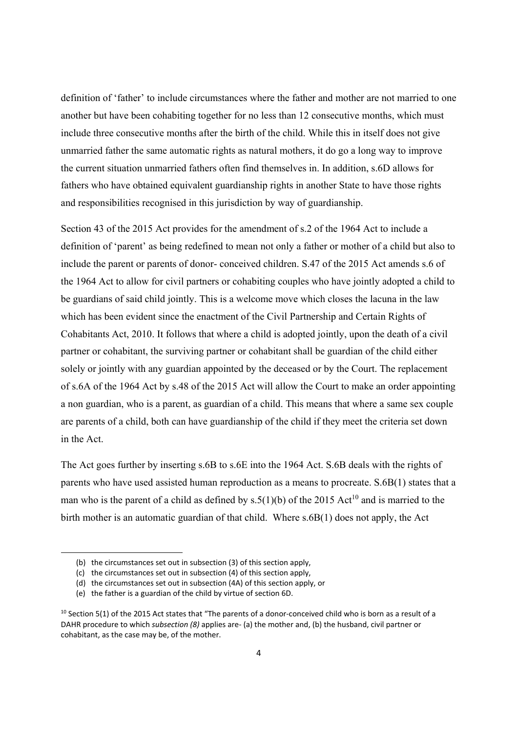definition of 'father' to include circumstances where the father and mother are not married to one another but have been cohabiting together for no less than 12 consecutive months, which must include three consecutive months after the birth of the child. While this in itself does not give unmarried father the same automatic rights as natural mothers, it do go a long way to improve the current situation unmarried fathers often find themselves in. In addition, s.6D allows for fathers who have obtained equivalent guardianship rights in another State to have those rights and responsibilities recognised in this jurisdiction by way of guardianship.

Section 43 of the 2015 Act provides for the amendment of s.2 of the 1964 Act to include a definition of 'parent' as being redefined to mean not only a father or mother of a child but also to include the parent or parents of donor- conceived children. S.47 of the 2015 Act amends s.6 of the 1964 Act to allow for civil partners or cohabiting couples who have jointly adopted a child to be guardians of said child jointly. This is a welcome move which closes the lacuna in the law which has been evident since the enactment of the Civil Partnership and Certain Rights of Cohabitants Act, 2010. It follows that where a child is adopted jointly, upon the death of a civil partner or cohabitant, the surviving partner or cohabitant shall be guardian of the child either solely or jointly with any guardian appointed by the deceased or by the Court. The replacement of s.6A of the 1964 Act by s.48 of the 2015 Act will allow the Court to make an order appointing a non guardian, who is a parent, as guardian of a child. This means that where a same sex couple are parents of a child, both can have guardianship of the child if they meet the criteria set down in the Act.

The Act goes further by inserting s.6B to s.6E into the 1964 Act. S.6B deals with the rights of parents who have used assisted human reproduction as a means to procreate. S.6B(1) states that a man who is the parent of a child as defined by  $s.5(1)(b)$  of the 2015 Act<sup>10</sup> and is married to the birth mother is an automatic guardian of that child. Where s.6B(1) does not apply, the Act

<sup>(</sup>b) the circumstances set out in subsection (3) of this section apply,

<sup>(</sup>c) the circumstances set out in subsection (4) of this section apply,

<sup>(</sup>d) the circumstances set out in subsection (4A) of this section apply, or

<sup>(</sup>e) the father is a guardian of the child by virtue of section 6D.

 $10$  Section 5(1) of the 2015 Act states that "The parents of a donor-conceived child who is born as a result of a DAHR procedure to which *subsection (8)* applies are‐ (a) the mother and, (b) the husband, civil partner or cohabitant, as the case may be, of the mother.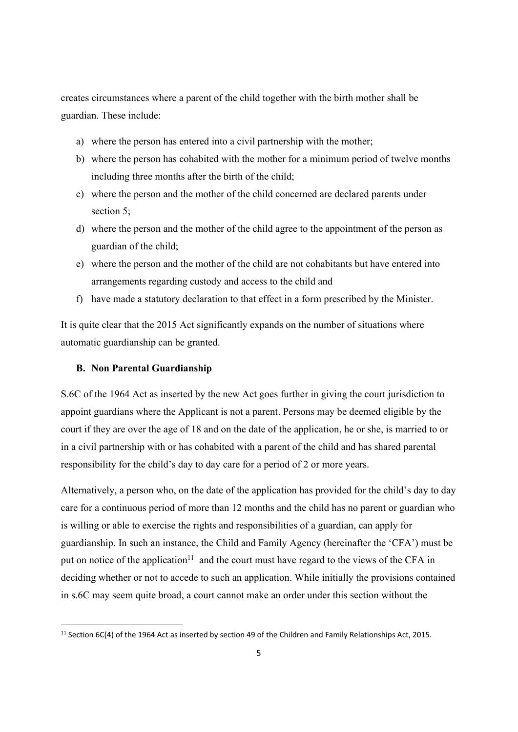creates circumstances where a parent of the child together with the birth mother shall be guardian. These include:

- a) where the person has entered into a civil partnership with the mother;
- b) where the person has cohabited with the mother for a minimum period of twelve months including three months after the birth of the child;
- c) where the person and the mother of the child concerned are declared parents under section 5;
- d) where the person and the mother of the child agree to the appointment of the person as guardian of the child;
- e) where the person and the mother of the child are not cohabitants but have entered into arrangements regarding custody and access to the child and
- f) have made a statutory declaration to that effect in a form prescribed by the Minister.

It is quite clear that the 2015 Act significantly expands on the number of situations where automatic guardianship can be granted.

# **B. Non Parental Guardianship**

S.6C of the 1964 Act as inserted by the new Act goes further in giving the court jurisdiction to appoint guardians where the Applicant is not a parent. Persons may be deemed eligible by the court if they are over the age of 18 and on the date of the application, he or she, is married to or in a civil partnership with or has cohabited with a parent of the child and has shared parental responsibility for the child's day to day care for a period of 2 or more years.

Alternatively, a person who, on the date of the application has provided for the child's day to day care for a continuous period of more than 12 months and the child has no parent or guardian who is willing or able to exercise the rights and responsibilities of a guardian, can apply for guardianship. In such an instance, the Child and Family Agency (hereinafter the 'CFA') must be put on notice of the application<sup>11</sup> and the court must have regard to the views of the CFA in deciding whether or not to accede to such an application. While initially the provisions contained in s.6C may seem quite broad, a court cannot make an order under this section without the

<sup>&</sup>lt;sup>11</sup> Section 6C(4) of the 1964 Act as inserted by section 49 of the Children and Family Relationships Act, 2015.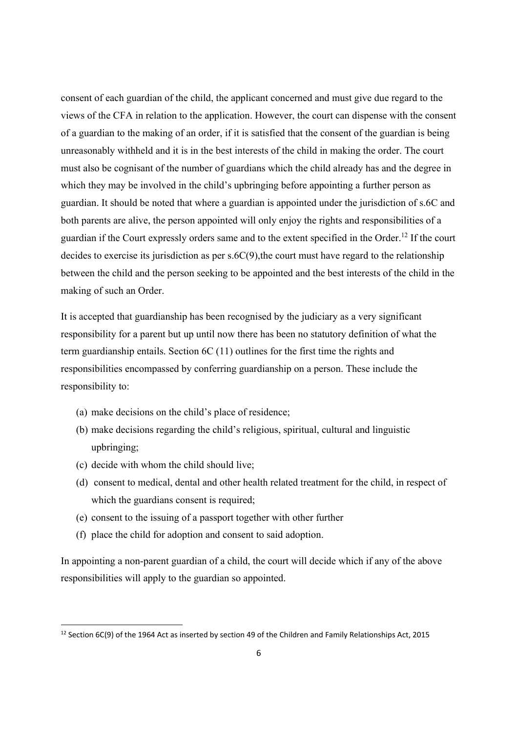consent of each guardian of the child, the applicant concerned and must give due regard to the views of the CFA in relation to the application. However, the court can dispense with the consent of a guardian to the making of an order, if it is satisfied that the consent of the guardian is being unreasonably withheld and it is in the best interests of the child in making the order. The court must also be cognisant of the number of guardians which the child already has and the degree in which they may be involved in the child's upbringing before appointing a further person as guardian. It should be noted that where a guardian is appointed under the jurisdiction of s.6C and both parents are alive, the person appointed will only enjoy the rights and responsibilities of a guardian if the Court expressly orders same and to the extent specified in the Order.12 If the court decides to exercise its jurisdiction as per s.6C(9),the court must have regard to the relationship between the child and the person seeking to be appointed and the best interests of the child in the making of such an Order.

It is accepted that guardianship has been recognised by the judiciary as a very significant responsibility for a parent but up until now there has been no statutory definition of what the term guardianship entails. Section 6C (11) outlines for the first time the rights and responsibilities encompassed by conferring guardianship on a person. These include the responsibility to:

- (a) make decisions on the child's place of residence;
- (b) make decisions regarding the child's religious, spiritual, cultural and linguistic upbringing;
- (c) decide with whom the child should live;

- (d) consent to medical, dental and other health related treatment for the child, in respect of which the guardians consent is required;
- (e) consent to the issuing of a passport together with other further
- (f) place the child for adoption and consent to said adoption.

In appointing a non-parent guardian of a child, the court will decide which if any of the above responsibilities will apply to the guardian so appointed.

<sup>&</sup>lt;sup>12</sup> Section 6C(9) of the 1964 Act as inserted by section 49 of the Children and Family Relationships Act, 2015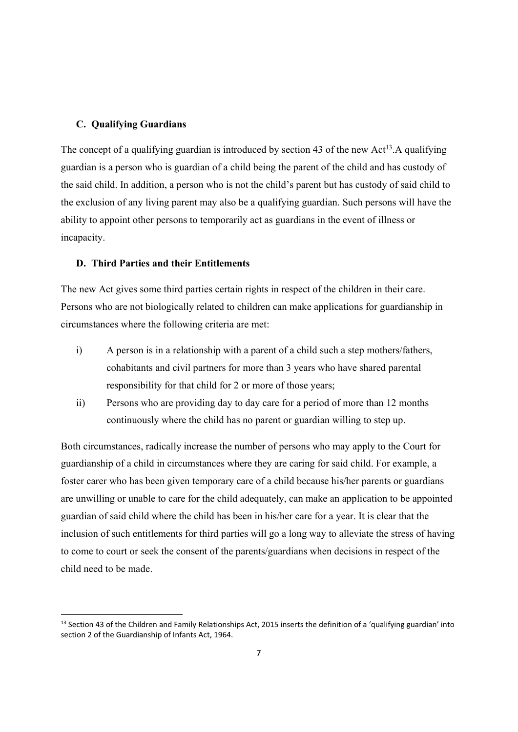## **C. Qualifying Guardians**

The concept of a qualifying guardian is introduced by section 43 of the new  $Act^{13}$ . A qualifying guardian is a person who is guardian of a child being the parent of the child and has custody of the said child. In addition, a person who is not the child's parent but has custody of said child to the exclusion of any living parent may also be a qualifying guardian. Such persons will have the ability to appoint other persons to temporarily act as guardians in the event of illness or incapacity.

# **D. Third Parties and their Entitlements**

The new Act gives some third parties certain rights in respect of the children in their care. Persons who are not biologically related to children can make applications for guardianship in circumstances where the following criteria are met:

- i) A person is in a relationship with a parent of a child such a step mothers/fathers, cohabitants and civil partners for more than 3 years who have shared parental responsibility for that child for 2 or more of those years;
- ii) Persons who are providing day to day care for a period of more than 12 months continuously where the child has no parent or guardian willing to step up.

Both circumstances, radically increase the number of persons who may apply to the Court for guardianship of a child in circumstances where they are caring for said child. For example, a foster carer who has been given temporary care of a child because his/her parents or guardians are unwilling or unable to care for the child adequately, can make an application to be appointed guardian of said child where the child has been in his/her care for a year. It is clear that the inclusion of such entitlements for third parties will go a long way to alleviate the stress of having to come to court or seek the consent of the parents/guardians when decisions in respect of the child need to be made.

 $13$  Section 43 of the Children and Family Relationships Act, 2015 inserts the definition of a 'qualifying guardian' into section 2 of the Guardianship of Infants Act, 1964.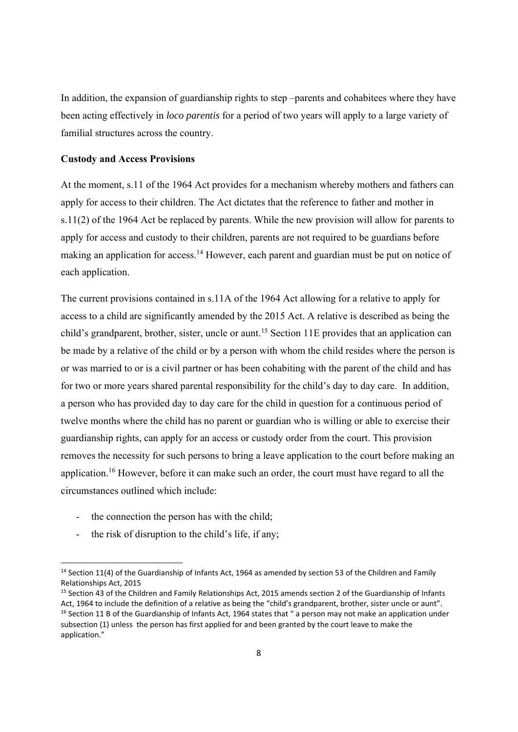In addition, the expansion of guardianship rights to step –parents and cohabitees where they have been acting effectively in *loco parentis* for a period of two years will apply to a large variety of familial structures across the country.

#### **Custody and Access Provisions**

At the moment, s.11 of the 1964 Act provides for a mechanism whereby mothers and fathers can apply for access to their children. The Act dictates that the reference to father and mother in s.11(2) of the 1964 Act be replaced by parents. While the new provision will allow for parents to apply for access and custody to their children, parents are not required to be guardians before making an application for access.<sup>14</sup> However, each parent and guardian must be put on notice of each application.

The current provisions contained in s.11A of the 1964 Act allowing for a relative to apply for access to a child are significantly amended by the 2015 Act. A relative is described as being the child's grandparent, brother, sister, uncle or aunt.<sup>15</sup> Section 11E provides that an application can be made by a relative of the child or by a person with whom the child resides where the person is or was married to or is a civil partner or has been cohabiting with the parent of the child and has for two or more years shared parental responsibility for the child's day to day care. In addition, a person who has provided day to day care for the child in question for a continuous period of twelve months where the child has no parent or guardian who is willing or able to exercise their guardianship rights, can apply for an access or custody order from the court. This provision removes the necessity for such persons to bring a leave application to the court before making an application.16 However, before it can make such an order, the court must have regard to all the circumstances outlined which include:

- the connection the person has with the child;
- the risk of disruption to the child's life, if any;

<sup>&</sup>lt;sup>14</sup> Section 11(4) of the Guardianship of Infants Act, 1964 as amended by section 53 of the Children and Family Relationships Act, 2015

<sup>&</sup>lt;sup>15</sup> Section 43 of the Children and Family Relationships Act, 2015 amends section 2 of the Guardianship of Infants Act, 1964 to include the definition of a relative as being the "child's grandparent, brother, sister uncle or aunt". <sup>16</sup> Section 11 B of the Guardianship of Infants Act, 1964 states that " a person may not make an application under subsection (1) unless the person has first applied for and been granted by the court leave to make the application."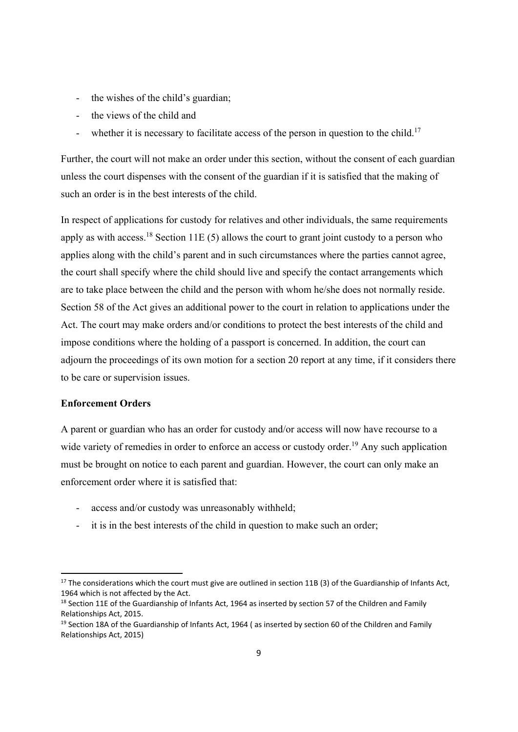- the wishes of the child's guardian;
- the views of the child and
- whether it is necessary to facilitate access of the person in question to the child.<sup>17</sup>

Further, the court will not make an order under this section, without the consent of each guardian unless the court dispenses with the consent of the guardian if it is satisfied that the making of such an order is in the best interests of the child.

In respect of applications for custody for relatives and other individuals, the same requirements apply as with access.<sup>18</sup> Section 11E (5) allows the court to grant joint custody to a person who applies along with the child's parent and in such circumstances where the parties cannot agree, the court shall specify where the child should live and specify the contact arrangements which are to take place between the child and the person with whom he/she does not normally reside. Section 58 of the Act gives an additional power to the court in relation to applications under the Act. The court may make orders and/or conditions to protect the best interests of the child and impose conditions where the holding of a passport is concerned. In addition, the court can adjourn the proceedings of its own motion for a section 20 report at any time, if it considers there to be care or supervision issues.

# **Enforcement Orders**

A parent or guardian who has an order for custody and/or access will now have recourse to a wide variety of remedies in order to enforce an access or custody order.<sup>19</sup> Any such application must be brought on notice to each parent and guardian. However, the court can only make an enforcement order where it is satisfied that:

- access and/or custody was unreasonably withheld;
- it is in the best interests of the child in question to make such an order;

<sup>&</sup>lt;sup>17</sup> The considerations which the court must give are outlined in section 11B (3) of the Guardianship of Infants Act, 1964 which is not affected by the Act.

<sup>&</sup>lt;sup>18</sup> Section 11E of the Guardianship of Infants Act, 1964 as inserted by section 57 of the Children and Family Relationships Act, 2015.

<sup>&</sup>lt;sup>19</sup> Section 18A of the Guardianship of Infants Act, 1964 (as inserted by section 60 of the Children and Family Relationships Act, 2015)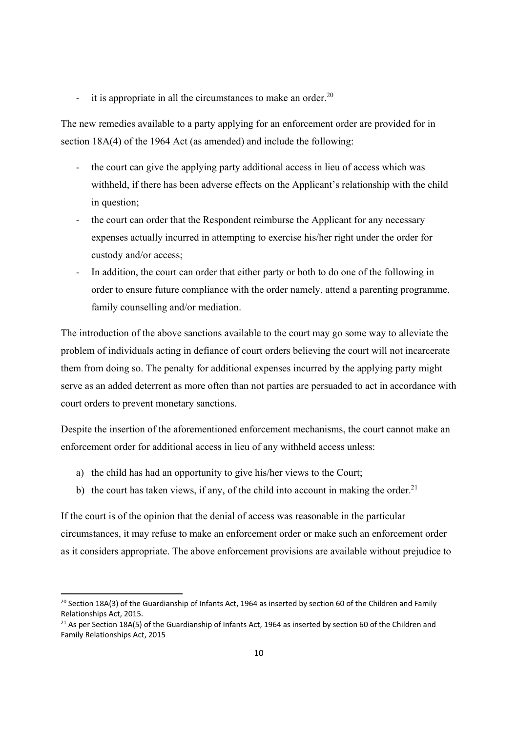- it is appropriate in all the circumstances to make an order.<sup>20</sup>

The new remedies available to a party applying for an enforcement order are provided for in section 18A(4) of the 1964 Act (as amended) and include the following:

- the court can give the applying party additional access in lieu of access which was withheld, if there has been adverse effects on the Applicant's relationship with the child in question;
- the court can order that the Respondent reimburse the Applicant for any necessary expenses actually incurred in attempting to exercise his/her right under the order for custody and/or access;
- In addition, the court can order that either party or both to do one of the following in order to ensure future compliance with the order namely, attend a parenting programme, family counselling and/or mediation.

The introduction of the above sanctions available to the court may go some way to alleviate the problem of individuals acting in defiance of court orders believing the court will not incarcerate them from doing so. The penalty for additional expenses incurred by the applying party might serve as an added deterrent as more often than not parties are persuaded to act in accordance with court orders to prevent monetary sanctions.

Despite the insertion of the aforementioned enforcement mechanisms, the court cannot make an enforcement order for additional access in lieu of any withheld access unless:

a) the child has had an opportunity to give his/her views to the Court;

b) the court has taken views, if any, of the child into account in making the order.<sup>21</sup>

If the court is of the opinion that the denial of access was reasonable in the particular circumstances, it may refuse to make an enforcement order or make such an enforcement order as it considers appropriate. The above enforcement provisions are available without prejudice to

<sup>&</sup>lt;sup>20</sup> Section 18A(3) of the Guardianship of Infants Act, 1964 as inserted by section 60 of the Children and Family Relationships Act, 2015.

<sup>&</sup>lt;sup>21</sup> As per Section 18A(5) of the Guardianship of Infants Act, 1964 as inserted by section 60 of the Children and Family Relationships Act, 2015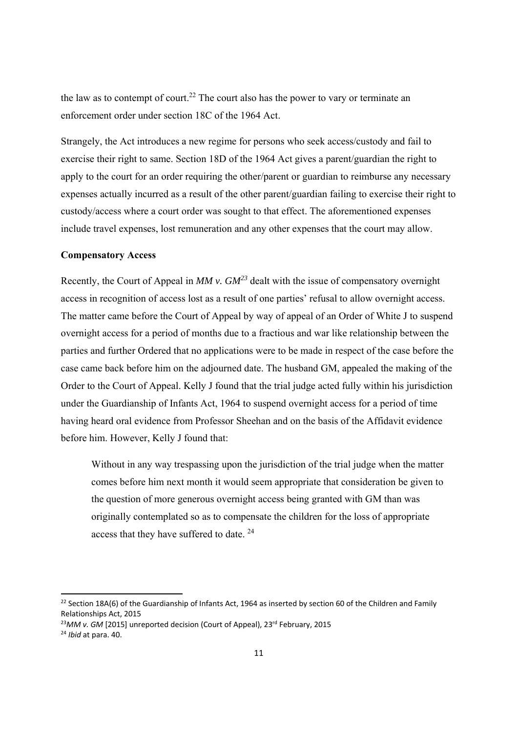the law as to contempt of court.<sup>22</sup> The court also has the power to vary or terminate an enforcement order under section 18C of the 1964 Act.

Strangely, the Act introduces a new regime for persons who seek access/custody and fail to exercise their right to same. Section 18D of the 1964 Act gives a parent/guardian the right to apply to the court for an order requiring the other/parent or guardian to reimburse any necessary expenses actually incurred as a result of the other parent/guardian failing to exercise their right to custody/access where a court order was sought to that effect. The aforementioned expenses include travel expenses, lost remuneration and any other expenses that the court may allow.

#### **Compensatory Access**

Recently, the Court of Appeal in *MM v. GM<sup>23</sup>* dealt with the issue of compensatory overnight access in recognition of access lost as a result of one parties' refusal to allow overnight access. The matter came before the Court of Appeal by way of appeal of an Order of White J to suspend overnight access for a period of months due to a fractious and war like relationship between the parties and further Ordered that no applications were to be made in respect of the case before the case came back before him on the adjourned date. The husband GM, appealed the making of the Order to the Court of Appeal. Kelly J found that the trial judge acted fully within his jurisdiction under the Guardianship of Infants Act, 1964 to suspend overnight access for a period of time having heard oral evidence from Professor Sheehan and on the basis of the Affidavit evidence before him. However, Kelly J found that:

Without in any way trespassing upon the jurisdiction of the trial judge when the matter comes before him next month it would seem appropriate that consideration be given to the question of more generous overnight access being granted with GM than was originally contemplated so as to compensate the children for the loss of appropriate access that they have suffered to date. 24

<sup>&</sup>lt;sup>22</sup> Section 18A(6) of the Guardianship of Infants Act, 1964 as inserted by section 60 of the Children and Family Relationships Act, 2015

<sup>&</sup>lt;sup>23</sup>MM v. GM [2015] unreported decision (Court of Appeal), 23<sup>rd</sup> February, 2015

<sup>24</sup> *Ibid* at para. 40.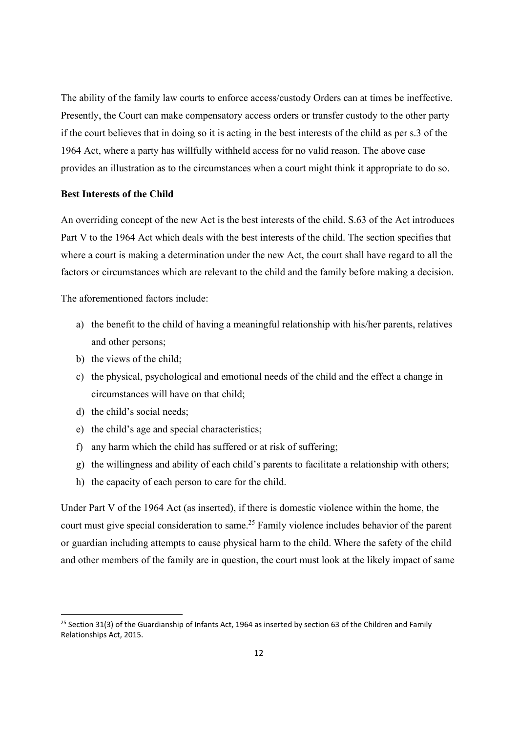The ability of the family law courts to enforce access/custody Orders can at times be ineffective. Presently, the Court can make compensatory access orders or transfer custody to the other party if the court believes that in doing so it is acting in the best interests of the child as per s.3 of the 1964 Act, where a party has willfully withheld access for no valid reason. The above case provides an illustration as to the circumstances when a court might think it appropriate to do so.

#### **Best Interests of the Child**

An overriding concept of the new Act is the best interests of the child. S.63 of the Act introduces Part V to the 1964 Act which deals with the best interests of the child. The section specifies that where a court is making a determination under the new Act, the court shall have regard to all the factors or circumstances which are relevant to the child and the family before making a decision.

The aforementioned factors include:

- a) the benefit to the child of having a meaningful relationship with his/her parents, relatives and other persons;
- b) the views of the child;
- c) the physical, psychological and emotional needs of the child and the effect a change in circumstances will have on that child;
- d) the child's social needs;

- e) the child's age and special characteristics;
- f) any harm which the child has suffered or at risk of suffering;
- g) the willingness and ability of each child's parents to facilitate a relationship with others;
- h) the capacity of each person to care for the child.

Under Part V of the 1964 Act (as inserted), if there is domestic violence within the home, the court must give special consideration to same.25 Family violence includes behavior of the parent or guardian including attempts to cause physical harm to the child. Where the safety of the child and other members of the family are in question, the court must look at the likely impact of same

<sup>&</sup>lt;sup>25</sup> Section 31(3) of the Guardianship of Infants Act, 1964 as inserted by section 63 of the Children and Family Relationships Act, 2015.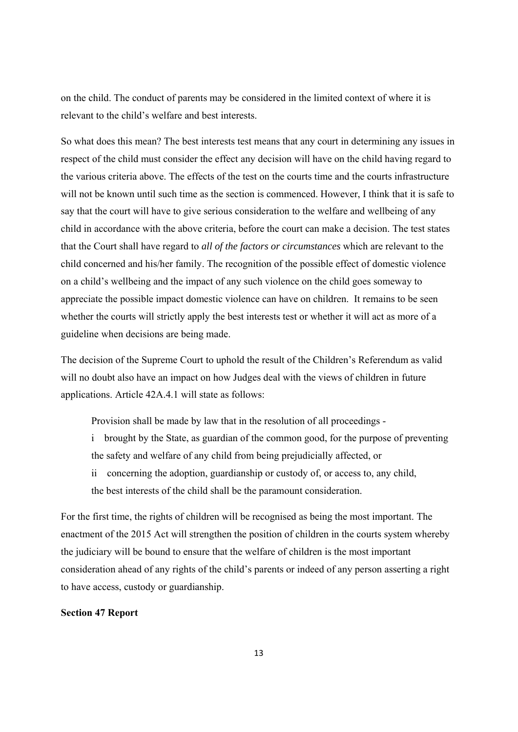on the child. The conduct of parents may be considered in the limited context of where it is relevant to the child's welfare and best interests.

So what does this mean? The best interests test means that any court in determining any issues in respect of the child must consider the effect any decision will have on the child having regard to the various criteria above. The effects of the test on the courts time and the courts infrastructure will not be known until such time as the section is commenced. However, I think that it is safe to say that the court will have to give serious consideration to the welfare and wellbeing of any child in accordance with the above criteria, before the court can make a decision. The test states that the Court shall have regard to *all of the factors or circumstances* which are relevant to the child concerned and his/her family. The recognition of the possible effect of domestic violence on a child's wellbeing and the impact of any such violence on the child goes someway to appreciate the possible impact domestic violence can have on children. It remains to be seen whether the courts will strictly apply the best interests test or whether it will act as more of a guideline when decisions are being made.

The decision of the Supreme Court to uphold the result of the Children's Referendum as valid will no doubt also have an impact on how Judges deal with the views of children in future applications. Article 42A.4.1 will state as follows:

Provision shall be made by law that in the resolution of all proceedings -

- i brought by the State, as guardian of the common good, for the purpose of preventing the safety and welfare of any child from being prejudicially affected, or
- ii concerning the adoption, guardianship or custody of, or access to, any child, the best interests of the child shall be the paramount consideration.

For the first time, the rights of children will be recognised as being the most important. The enactment of the 2015 Act will strengthen the position of children in the courts system whereby the judiciary will be bound to ensure that the welfare of children is the most important consideration ahead of any rights of the child's parents or indeed of any person asserting a right to have access, custody or guardianship.

## **Section 47 Report**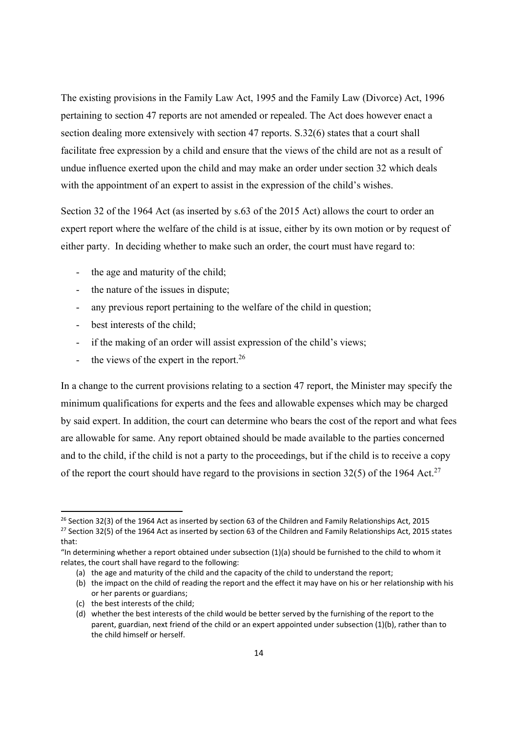The existing provisions in the Family Law Act, 1995 and the Family Law (Divorce) Act, 1996 pertaining to section 47 reports are not amended or repealed. The Act does however enact a section dealing more extensively with section 47 reports. S.32(6) states that a court shall facilitate free expression by a child and ensure that the views of the child are not as a result of undue influence exerted upon the child and may make an order under section 32 which deals with the appointment of an expert to assist in the expression of the child's wishes.

Section 32 of the 1964 Act (as inserted by s.63 of the 2015 Act) allows the court to order an expert report where the welfare of the child is at issue, either by its own motion or by request of either party. In deciding whether to make such an order, the court must have regard to:

- the age and maturity of the child;
- the nature of the issues in dispute;
- any previous report pertaining to the welfare of the child in question;
- best interests of the child;
- if the making of an order will assist expression of the child's views;
- the views of the expert in the report. $26$

In a change to the current provisions relating to a section 47 report, the Minister may specify the minimum qualifications for experts and the fees and allowable expenses which may be charged by said expert. In addition, the court can determine who bears the cost of the report and what fees are allowable for same. Any report obtained should be made available to the parties concerned and to the child, if the child is not a party to the proceedings, but if the child is to receive a copy of the report the court should have regard to the provisions in section 32(5) of the 1964 Act.<sup>27</sup>

(c) the best interests of the child;

<sup>&</sup>lt;sup>26</sup> Section 32(3) of the 1964 Act as inserted by section 63 of the Children and Family Relationships Act, 2015 <sup>27</sup> Section 32(5) of the 1964 Act as inserted by section 63 of the Children and Family Relationships Act, 2015 states that:

<sup>&</sup>quot;In determining whether a report obtained under subsection (1)(a) should be furnished to the child to whom it relates, the court shall have regard to the following:

<sup>(</sup>a) the age and maturity of the child and the capacity of the child to understand the report;

<sup>(</sup>b) the impact on the child of reading the report and the effect it may have on his or her relationship with his or her parents or guardians;

<sup>(</sup>d) whether the best interests of the child would be better served by the furnishing of the report to the parent, guardian, next friend of the child or an expert appointed under subsection (1)(b), rather than to the child himself or herself.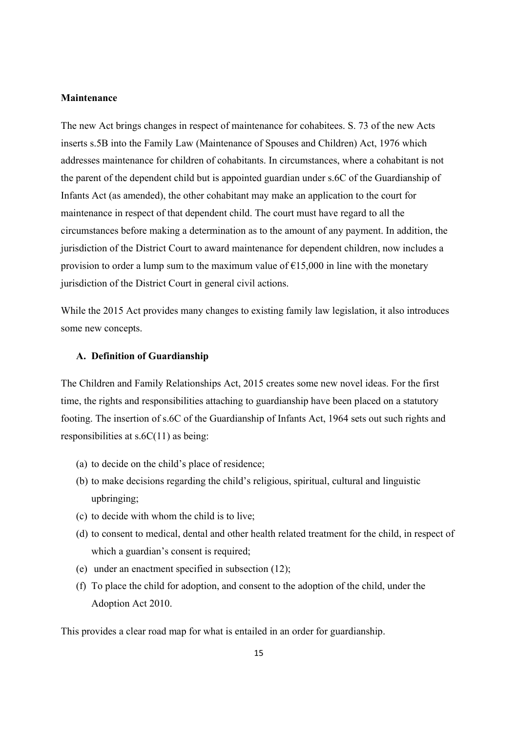## **Maintenance**

The new Act brings changes in respect of maintenance for cohabitees. S. 73 of the new Acts inserts s.5B into the Family Law (Maintenance of Spouses and Children) Act, 1976 which addresses maintenance for children of cohabitants. In circumstances, where a cohabitant is not the parent of the dependent child but is appointed guardian under s.6C of the Guardianship of Infants Act (as amended), the other cohabitant may make an application to the court for maintenance in respect of that dependent child. The court must have regard to all the circumstances before making a determination as to the amount of any payment. In addition, the jurisdiction of the District Court to award maintenance for dependent children, now includes a provision to order a lump sum to the maximum value of  $\epsilon$ 15,000 in line with the monetary jurisdiction of the District Court in general civil actions.

While the 2015 Act provides many changes to existing family law legislation, it also introduces some new concepts.

## **A. Definition of Guardianship**

The Children and Family Relationships Act, 2015 creates some new novel ideas. For the first time, the rights and responsibilities attaching to guardianship have been placed on a statutory footing. The insertion of s.6C of the Guardianship of Infants Act, 1964 sets out such rights and responsibilities at s.6C(11) as being:

- (a) to decide on the child's place of residence;
- (b) to make decisions regarding the child's religious, spiritual, cultural and linguistic upbringing;
- (c) to decide with whom the child is to live;
- (d) to consent to medical, dental and other health related treatment for the child, in respect of which a guardian's consent is required;
- (e) under an enactment specified in subsection (12);
- (f) To place the child for adoption, and consent to the adoption of the child, under the Adoption Act 2010.

This provides a clear road map for what is entailed in an order for guardianship.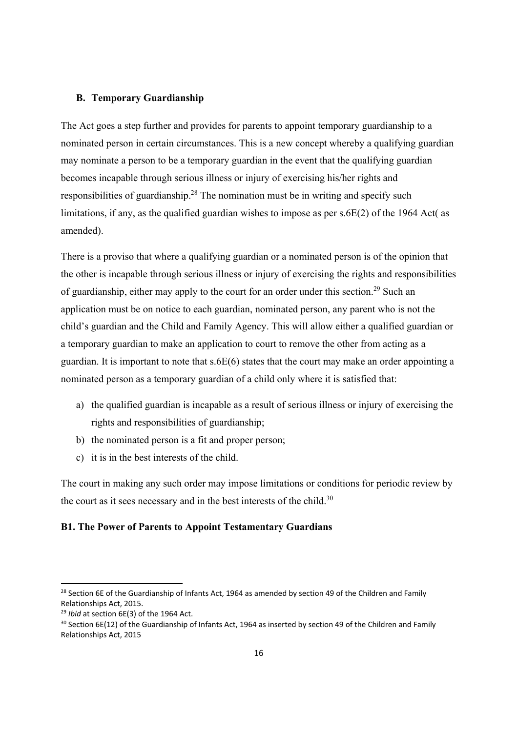## **B. Temporary Guardianship**

The Act goes a step further and provides for parents to appoint temporary guardianship to a nominated person in certain circumstances. This is a new concept whereby a qualifying guardian may nominate a person to be a temporary guardian in the event that the qualifying guardian becomes incapable through serious illness or injury of exercising his/her rights and responsibilities of guardianship.<sup>28</sup> The nomination must be in writing and specify such limitations, if any, as the qualified guardian wishes to impose as per s.6E(2) of the 1964 Act( as amended).

There is a proviso that where a qualifying guardian or a nominated person is of the opinion that the other is incapable through serious illness or injury of exercising the rights and responsibilities of guardianship, either may apply to the court for an order under this section.<sup>29</sup> Such an application must be on notice to each guardian, nominated person, any parent who is not the child's guardian and the Child and Family Agency. This will allow either a qualified guardian or a temporary guardian to make an application to court to remove the other from acting as a guardian. It is important to note that s.6E(6) states that the court may make an order appointing a nominated person as a temporary guardian of a child only where it is satisfied that:

- a) the qualified guardian is incapable as a result of serious illness or injury of exercising the rights and responsibilities of guardianship;
- b) the nominated person is a fit and proper person;
- c) it is in the best interests of the child.

The court in making any such order may impose limitations or conditions for periodic review by the court as it sees necessary and in the best interests of the child.<sup>30</sup>

# **B1. The Power of Parents to Appoint Testamentary Guardians**

<sup>&</sup>lt;sup>28</sup> Section 6E of the Guardianship of Infants Act, 1964 as amended by section 49 of the Children and Family Relationships Act, 2015.

<sup>29</sup> *Ibid* at section 6E(3) of the 1964 Act.

<sup>&</sup>lt;sup>30</sup> Section 6E(12) of the Guardianship of Infants Act, 1964 as inserted by section 49 of the Children and Family Relationships Act, 2015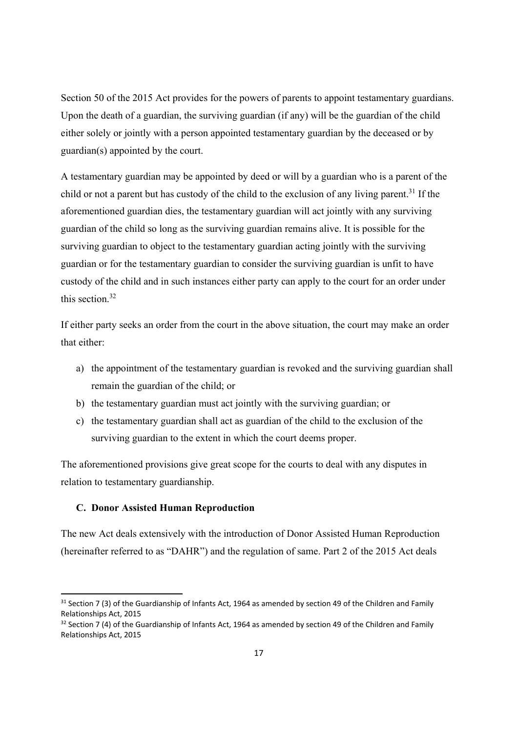Section 50 of the 2015 Act provides for the powers of parents to appoint testamentary guardians. Upon the death of a guardian, the surviving guardian (if any) will be the guardian of the child either solely or jointly with a person appointed testamentary guardian by the deceased or by guardian(s) appointed by the court.

A testamentary guardian may be appointed by deed or will by a guardian who is a parent of the child or not a parent but has custody of the child to the exclusion of any living parent.<sup>31</sup> If the aforementioned guardian dies, the testamentary guardian will act jointly with any surviving guardian of the child so long as the surviving guardian remains alive. It is possible for the surviving guardian to object to the testamentary guardian acting jointly with the surviving guardian or for the testamentary guardian to consider the surviving guardian is unfit to have custody of the child and in such instances either party can apply to the court for an order under this section.32

If either party seeks an order from the court in the above situation, the court may make an order that either:

- a) the appointment of the testamentary guardian is revoked and the surviving guardian shall remain the guardian of the child; or
- b) the testamentary guardian must act jointly with the surviving guardian; or
- c) the testamentary guardian shall act as guardian of the child to the exclusion of the surviving guardian to the extent in which the court deems proper.

The aforementioned provisions give great scope for the courts to deal with any disputes in relation to testamentary guardianship.

#### **C. Donor Assisted Human Reproduction**

The new Act deals extensively with the introduction of Donor Assisted Human Reproduction (hereinafter referred to as "DAHR") and the regulation of same. Part 2 of the 2015 Act deals

<sup>&</sup>lt;sup>31</sup> Section 7 (3) of the Guardianship of Infants Act, 1964 as amended by section 49 of the Children and Family Relationships Act, 2015

 $32$  Section 7 (4) of the Guardianship of Infants Act, 1964 as amended by section 49 of the Children and Family Relationships Act, 2015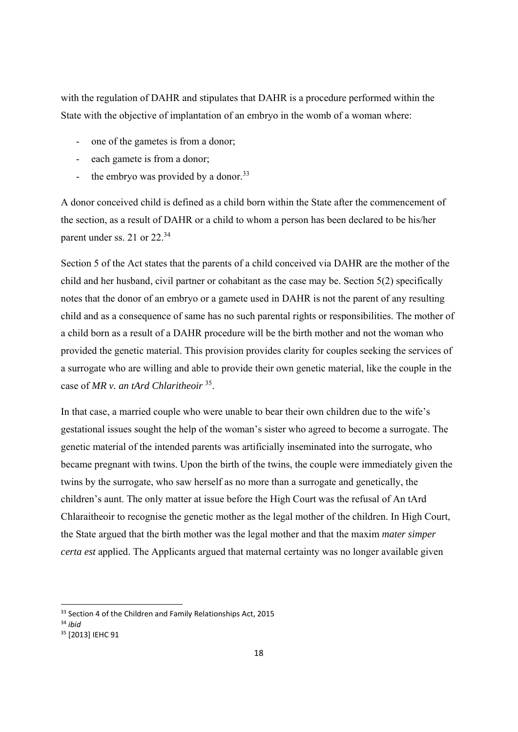with the regulation of DAHR and stipulates that DAHR is a procedure performed within the State with the objective of implantation of an embryo in the womb of a woman where:

- one of the gametes is from a donor;
- each gamete is from a donor;
- the embryo was provided by a donor.<sup>33</sup>

A donor conceived child is defined as a child born within the State after the commencement of the section, as a result of DAHR or a child to whom a person has been declared to be his/her parent under ss. 21 or 22.34

Section 5 of the Act states that the parents of a child conceived via DAHR are the mother of the child and her husband, civil partner or cohabitant as the case may be. Section 5(2) specifically notes that the donor of an embryo or a gamete used in DAHR is not the parent of any resulting child and as a consequence of same has no such parental rights or responsibilities. The mother of a child born as a result of a DAHR procedure will be the birth mother and not the woman who provided the genetic material. This provision provides clarity for couples seeking the services of a surrogate who are willing and able to provide their own genetic material, like the couple in the case of *MR v. an tArd Chlaritheoir* 35.

In that case, a married couple who were unable to bear their own children due to the wife's gestational issues sought the help of the woman's sister who agreed to become a surrogate. The genetic material of the intended parents was artificially inseminated into the surrogate, who became pregnant with twins. Upon the birth of the twins, the couple were immediately given the twins by the surrogate, who saw herself as no more than a surrogate and genetically, the children's aunt. The only matter at issue before the High Court was the refusal of An tArd Chlaraitheoir to recognise the genetic mother as the legal mother of the children. In High Court, the State argued that the birth mother was the legal mother and that the maxim *mater simper certa est* applied. The Applicants argued that maternal certainty was no longer available given

<sup>&</sup>lt;sup>33</sup> Section 4 of the Children and Family Relationships Act, 2015

<sup>34</sup> *ibid*

<sup>35</sup> [2013] IEHC 91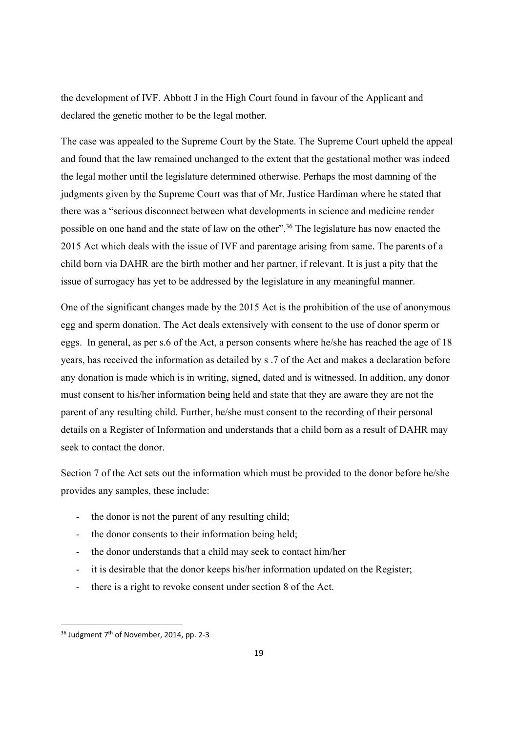the development of IVF. Abbott J in the High Court found in favour of the Applicant and declared the genetic mother to be the legal mother.

The case was appealed to the Supreme Court by the State. The Supreme Court upheld the appeal and found that the law remained unchanged to the extent that the gestational mother was indeed the legal mother until the legislature determined otherwise. Perhaps the most damning of the judgments given by the Supreme Court was that of Mr. Justice Hardiman where he stated that there was a "serious disconnect between what developments in science and medicine render possible on one hand and the state of law on the other".36 The legislature has now enacted the 2015 Act which deals with the issue of IVF and parentage arising from same. The parents of a child born via DAHR are the birth mother and her partner, if relevant. It is just a pity that the issue of surrogacy has yet to be addressed by the legislature in any meaningful manner.

One of the significant changes made by the 2015 Act is the prohibition of the use of anonymous egg and sperm donation. The Act deals extensively with consent to the use of donor sperm or eggs. In general, as per s.6 of the Act, a person consents where he/she has reached the age of 18 years, has received the information as detailed by s .7 of the Act and makes a declaration before any donation is made which is in writing, signed, dated and is witnessed. In addition, any donor must consent to his/her information being held and state that they are aware they are not the parent of any resulting child. Further, he/she must consent to the recording of their personal details on a Register of Information and understands that a child born as a result of DAHR may seek to contact the donor.

Section 7 of the Act sets out the information which must be provided to the donor before he/she provides any samples, these include:

- the donor is not the parent of any resulting child;
- the donor consents to their information being held;
- the donor understands that a child may seek to contact him/her
- it is desirable that the donor keeps his/her information updated on the Register;
- there is a right to revoke consent under section 8 of the Act.

<sup>&</sup>lt;sup>36</sup> Judgment 7<sup>th</sup> of November, 2014, pp. 2-3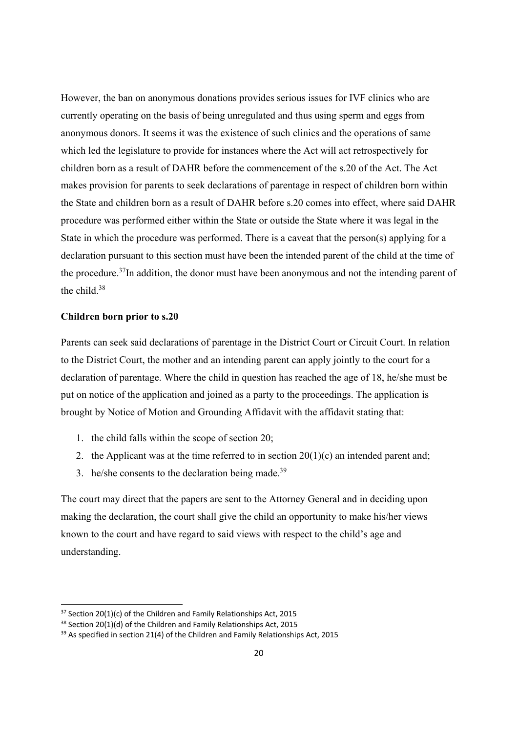However, the ban on anonymous donations provides serious issues for IVF clinics who are currently operating on the basis of being unregulated and thus using sperm and eggs from anonymous donors. It seems it was the existence of such clinics and the operations of same which led the legislature to provide for instances where the Act will act retrospectively for children born as a result of DAHR before the commencement of the s.20 of the Act. The Act makes provision for parents to seek declarations of parentage in respect of children born within the State and children born as a result of DAHR before s.20 comes into effect, where said DAHR procedure was performed either within the State or outside the State where it was legal in the State in which the procedure was performed. There is a caveat that the person(s) applying for a declaration pursuant to this section must have been the intended parent of the child at the time of the procedure.37In addition, the donor must have been anonymous and not the intending parent of the child.38

#### **Children born prior to s.20**

Parents can seek said declarations of parentage in the District Court or Circuit Court. In relation to the District Court, the mother and an intending parent can apply jointly to the court for a declaration of parentage. Where the child in question has reached the age of 18, he/she must be put on notice of the application and joined as a party to the proceedings. The application is brought by Notice of Motion and Grounding Affidavit with the affidavit stating that:

- 1. the child falls within the scope of section 20;
- 2. the Applicant was at the time referred to in section  $20(1)(c)$  an intended parent and;
- 3. he/she consents to the declaration being made.<sup>39</sup>

The court may direct that the papers are sent to the Attorney General and in deciding upon making the declaration, the court shall give the child an opportunity to make his/her views known to the court and have regard to said views with respect to the child's age and understanding.

 $37$  Section 20(1)(c) of the Children and Family Relationships Act, 2015

<sup>&</sup>lt;sup>38</sup> Section 20(1)(d) of the Children and Family Relationships Act, 2015

 $39$  As specified in section 21(4) of the Children and Family Relationships Act, 2015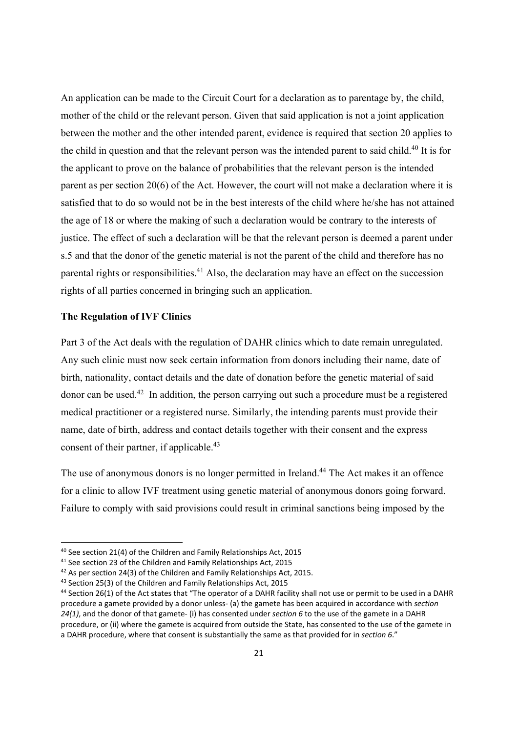An application can be made to the Circuit Court for a declaration as to parentage by, the child, mother of the child or the relevant person. Given that said application is not a joint application between the mother and the other intended parent, evidence is required that section 20 applies to the child in question and that the relevant person was the intended parent to said child.<sup>40</sup> It is for the applicant to prove on the balance of probabilities that the relevant person is the intended parent as per section 20(6) of the Act. However, the court will not make a declaration where it is satisfied that to do so would not be in the best interests of the child where he/she has not attained the age of 18 or where the making of such a declaration would be contrary to the interests of justice. The effect of such a declaration will be that the relevant person is deemed a parent under s.5 and that the donor of the genetic material is not the parent of the child and therefore has no parental rights or responsibilities.<sup>41</sup> Also, the declaration may have an effect on the succession rights of all parties concerned in bringing such an application.

## **The Regulation of IVF Clinics**

Part 3 of the Act deals with the regulation of DAHR clinics which to date remain unregulated. Any such clinic must now seek certain information from donors including their name, date of birth, nationality, contact details and the date of donation before the genetic material of said donor can be used.42 In addition, the person carrying out such a procedure must be a registered medical practitioner or a registered nurse. Similarly, the intending parents must provide their name, date of birth, address and contact details together with their consent and the express consent of their partner, if applicable. $43$ 

The use of anonymous donors is no longer permitted in Ireland.<sup>44</sup> The Act makes it an offence for a clinic to allow IVF treatment using genetic material of anonymous donors going forward. Failure to comply with said provisions could result in criminal sanctions being imposed by the

<sup>40</sup> See section 21(4) of the Children and Family Relationships Act, 2015

<sup>41</sup> See section 23 of the Children and Family Relationships Act, 2015

<sup>&</sup>lt;sup>42</sup> As per section 24(3) of the Children and Family Relationships Act, 2015.

<sup>43</sup> Section 25(3) of the Children and Family Relationships Act, 2015

<sup>44</sup> Section 26(1) of the Act states that "The operator of a DAHR facility shall not use or permit to be used in a DAHR procedure a gamete provided by a donor unless‐ (a) the gamete has been acquired in accordance with *section 24(1)*, and the donor of that gamete‐ (i) has consented under *section 6* to the use of the gamete in a DAHR procedure, or (ii) where the gamete is acquired from outside the State, has consented to the use of the gamete in a DAHR procedure, where that consent is substantially the same as that provided for in *section 6*."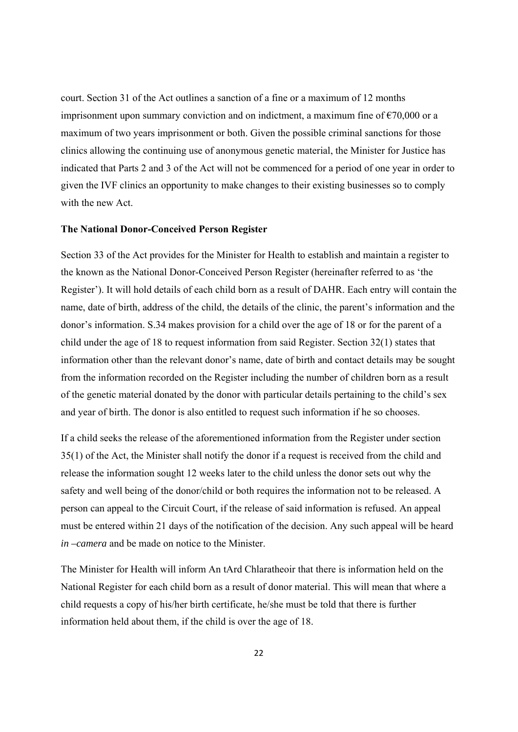court. Section 31 of the Act outlines a sanction of a fine or a maximum of 12 months imprisonment upon summary conviction and on indictment, a maximum fine of  $\epsilon$ 70,000 or a maximum of two years imprisonment or both. Given the possible criminal sanctions for those clinics allowing the continuing use of anonymous genetic material, the Minister for Justice has indicated that Parts 2 and 3 of the Act will not be commenced for a period of one year in order to given the IVF clinics an opportunity to make changes to their existing businesses so to comply with the new Act.

#### **The National Donor-Conceived Person Register**

Section 33 of the Act provides for the Minister for Health to establish and maintain a register to the known as the National Donor-Conceived Person Register (hereinafter referred to as 'the Register'). It will hold details of each child born as a result of DAHR. Each entry will contain the name, date of birth, address of the child, the details of the clinic, the parent's information and the donor's information. S.34 makes provision for a child over the age of 18 or for the parent of a child under the age of 18 to request information from said Register. Section 32(1) states that information other than the relevant donor's name, date of birth and contact details may be sought from the information recorded on the Register including the number of children born as a result of the genetic material donated by the donor with particular details pertaining to the child's sex and year of birth. The donor is also entitled to request such information if he so chooses.

If a child seeks the release of the aforementioned information from the Register under section 35(1) of the Act, the Minister shall notify the donor if a request is received from the child and release the information sought 12 weeks later to the child unless the donor sets out why the safety and well being of the donor/child or both requires the information not to be released. A person can appeal to the Circuit Court, if the release of said information is refused. An appeal must be entered within 21 days of the notification of the decision. Any such appeal will be heard *in –camera* and be made on notice to the Minister.

The Minister for Health will inform An tArd Chlaratheoir that there is information held on the National Register for each child born as a result of donor material. This will mean that where a child requests a copy of his/her birth certificate, he/she must be told that there is further information held about them, if the child is over the age of 18.